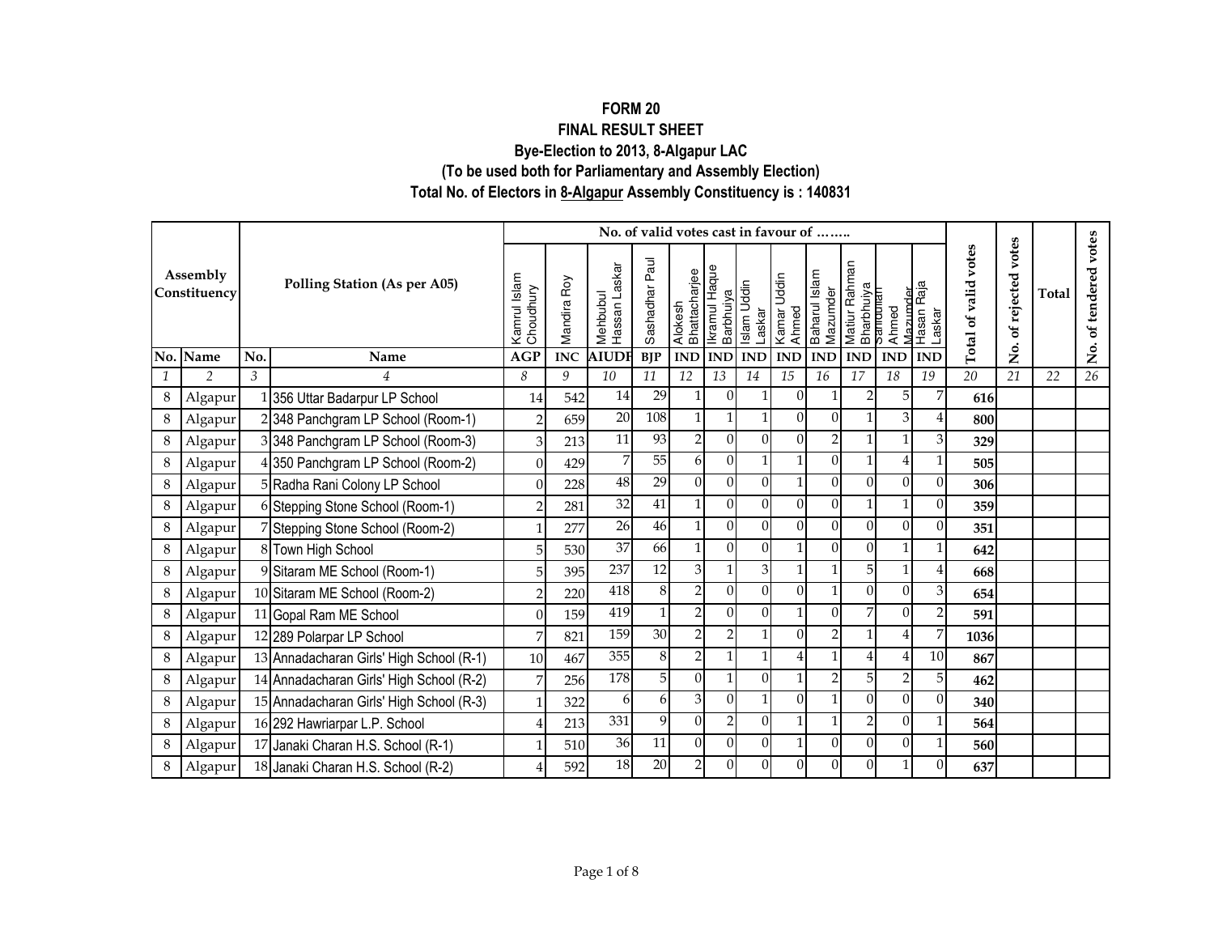## **(To be used both for Parliamentary and Assembly Election) Total No. of Electors in 8-Algapur Assembly Constituency is : 140831FORM 20 FINAL RESULT SHEETBye-Election to 2013, 8-Algapur LAC**

|   |                          |     |                                          |                           |             |                           | No. of valid votes cast in favour of |                          |                            |                       |                      |                |                |                                                                                                         |                         |                      |                   |              |                         |
|---|--------------------------|-----|------------------------------------------|---------------------------|-------------|---------------------------|--------------------------------------|--------------------------|----------------------------|-----------------------|----------------------|----------------|----------------|---------------------------------------------------------------------------------------------------------|-------------------------|----------------------|-------------------|--------------|-------------------------|
|   | Assembly<br>Constituency |     | <b>Polling Station (As per A05)</b>      | Kamrul Islam<br>Choudhury | Mandira Roy | Hassan Laskar<br>Mehbubul | Paul<br>Sashadhar                    | Alokesh<br>Bhattacharjee | Ikramul Haque<br>Barbhuiya | Islam Uddin<br>Laskar | Kamar Uddin<br>Ahmed |                |                | Baharul Islam<br>Mazumder<br>Matiur Rahman<br>Bharbhuiya<br>Samtouran<br>Ahmed<br>Ahazumder<br>Mazumder | Laskar                  | Total of valid votes | of rejected votes | <b>Total</b> | of tendered votes       |
|   | No. Name                 | No. | Name                                     | <b>AGP</b>                | <b>INC</b>  | <b>AIUD</b>               | <b>BIP</b>                           | <b>IND</b>               | <b>IND</b>                 | <b>IND</b>            | <b>IND</b>           | <b>IND</b>     | <b>IND</b>     | <b>IND</b>                                                                                              | <b>IND</b>              |                      | .<br>Ž            |              | $\mathring{\mathsf{z}}$ |
|   | $\overline{2}$           | 3   | $\overline{4}$                           | 8                         | 9           | 10                        | 11                                   | 12                       | 13                         | 14                    | 15                   | 16             | 17             | 18                                                                                                      | 19                      | 20                   | 21                | 22           | 26                      |
| 8 | Algapur                  |     | 1 356 Uttar Badarpur LP School           | 14                        | 542         | 14                        | 29                                   |                          | $\Omega$                   |                       | $\Omega$             |                | $\overline{2}$ | 5                                                                                                       | 7                       | 616                  |                   |              |                         |
| 8 | Algapur                  |     | 2348 Panchgram LP School (Room-1)        | $\overline{2}$            | 659         | 20                        | 108                                  |                          |                            |                       | $\Omega$             | 0              |                | 3                                                                                                       | 4                       | 800                  |                   |              |                         |
| 8 | Algapur                  |     | 3 348 Panchgram LP School (Room-3)       | $\overline{3}$            | 213         | 11                        | 93                                   | $\overline{2}$           | $\Omega$                   | $\Omega$              | $\Omega$             | $\overline{2}$ |                |                                                                                                         | 3                       | 329                  |                   |              |                         |
| 8 | Algapur                  |     | 4 350 Panchgram LP School (Room-2)       | $\Omega$                  | 429         | 7                         | $\overline{55}$                      | 6                        | $\Omega$                   | 1                     | $\mathbf{1}$         | $\Omega$       | $\mathbf{1}$   | 4                                                                                                       | 1                       | 505                  |                   |              |                         |
| 8 | Algapur                  |     | 5 Radha Rani Colony LP School            | $\Omega$                  | 228         | 48                        | $\overline{29}$                      | $\Omega$                 | $\Omega$                   | $\Omega$              | $\mathbf{1}$         | $\Omega$       | $\Omega$       | $\Omega$                                                                                                | $\Omega$                | 306                  |                   |              |                         |
| 8 | Algapur                  |     | 6 Stepping Stone School (Room-1)         | $\overline{2}$            | 281         | 32                        | 41                                   | $\mathbf{1}$             | $\Omega$                   | $\Omega$              | $\Omega$             | $\Omega$       | $\mathbf{1}$   |                                                                                                         | $\Omega$                | 359                  |                   |              |                         |
| 8 | Algapur                  |     | 7 Stepping Stone School (Room-2)         | 1                         | 277         | 26                        | 46                                   | $\mathbf{1}$             | $\Omega$                   | $\Omega$              | $\Omega$             | $\Omega$       | $\Omega$       | $\Omega$                                                                                                | $\overline{0}$          | 351                  |                   |              |                         |
| 8 | Algapur                  |     | 8 Town High School                       | 5                         | 530         | 37                        | 66                                   | 1                        | $\Omega$                   | $\Omega$              | $\mathbf{1}$         | $\Omega$       | $\Omega$       |                                                                                                         | 1                       | 642                  |                   |              |                         |
| 8 | Algapur                  |     | 9 Sitaram ME School (Room-1)             | 5 <sup>1</sup>            | 395         | 237                       | 12                                   | 3                        | $\mathbf{1}$               | 3                     |                      |                | 5              |                                                                                                         | 4                       | 668                  |                   |              |                         |
| 8 | Algapur                  |     | 10 Sitaram ME School (Room-2)            | $\overline{2}$            | 220         | 418                       | 8                                    |                          | $\Omega$                   | $\Omega$              | $\Omega$             |                | $\Omega$       | $\Omega$                                                                                                | 3                       | 654                  |                   |              |                         |
| 8 | Algapur                  |     | 11 Gopal Ram ME School                   | $\Omega$                  | 159         | 419                       |                                      | $\overline{2}$           | $\Omega$                   | $\Omega$              |                      | 0              | 7              | $\Omega$                                                                                                | $\overline{\mathbf{c}}$ | 591                  |                   |              |                         |
| 8 | Algapur                  |     | 12 289 Polarpar LP School                | 7                         | 821         | 159                       | $\overline{30}$                      | $\mathcal{D}$            | $\mathcal{D}$              |                       | $\Omega$             | 2              |                | 4                                                                                                       | 7                       | 1036                 |                   |              |                         |
| 8 | Algapur                  |     | 13 Annadacharan Girls' High School (R-1) | 10                        | 467         | 355                       | $\,8\,$                              | $\overline{2}$           |                            |                       | $\overline{4}$       |                |                | 4                                                                                                       | 10                      | 867                  |                   |              |                         |
| 8 | Algapur                  |     | 14 Annadacharan Girls' High School (R-2) | 7                         | 256         | 178                       | 5                                    | $\Omega$                 | $\mathbf{1}$               | $\Omega$              | $\mathbf{1}$         | $\overline{2}$ | 5              | 2                                                                                                       | 5                       | 462                  |                   |              |                         |
| 8 | Algapur                  |     | 15 Annadacharan Girls' High School (R-3) | 1                         | 322         | 6                         | 6                                    | 3                        | $\Omega$                   | 1                     | $\Omega$             |                | $\Omega$       | $\Omega$                                                                                                | $\Omega$                | 340                  |                   |              |                         |
| 8 | Algapur                  |     | 16 292 Hawriarpar L.P. School            | $\overline{4}$            | 213         | 331                       | 9                                    | $\Omega$                 | $\overline{2}$             | $\overline{0}$        | $\mathbf{1}$         |                | $\overline{2}$ | $\overline{0}$                                                                                          | 1                       | 564                  |                   |              |                         |
| 8 | Algapur                  |     | 17 Janaki Charan H.S. School (R-1)       |                           | 510         | $\overline{36}$           | 11                                   | $\Omega$                 | $\Omega$                   | $\Omega$              | $\mathbf{1}$         | $\Omega$       | $\Omega$       | $\Omega$                                                                                                | 1                       | 560                  |                   |              |                         |
| 8 | Algapur                  |     | 18 Janaki Charan H.S. School (R-2)       |                           | 592         | 18                        | 20                                   | $\mathfrak{D}$           | $\Omega$                   | $\Omega$              | $\Omega$             | $\Omega$       | $\Omega$       |                                                                                                         | $\Omega$                | 637                  |                   |              |                         |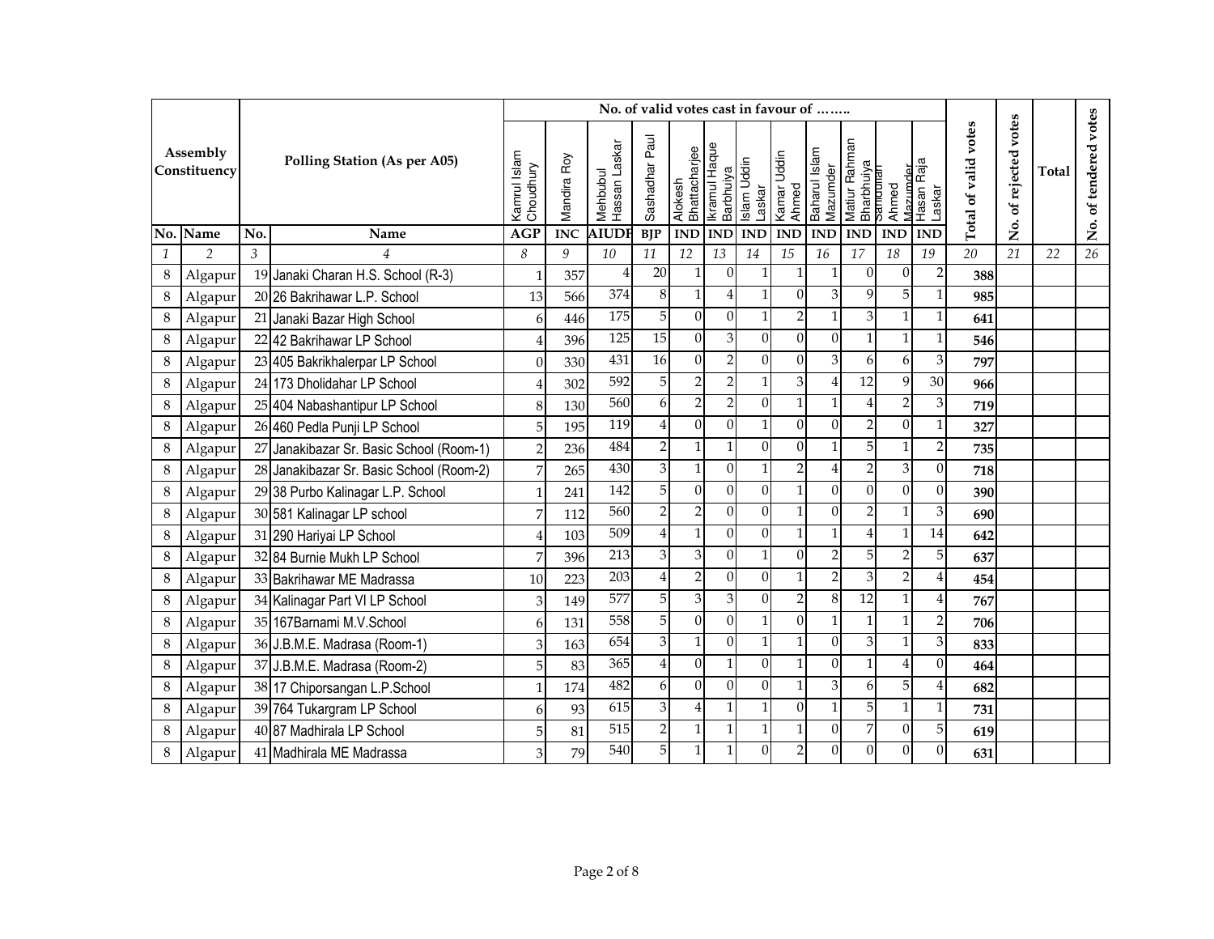|              |                          |     |                                          |                           |             |                           | No. of valid votes cast in favour of |                           |                                   |              |                                |                           |                                         |                   |                      |                      |                      |              |                       |
|--------------|--------------------------|-----|------------------------------------------|---------------------------|-------------|---------------------------|--------------------------------------|---------------------------|-----------------------------------|--------------|--------------------------------|---------------------------|-----------------------------------------|-------------------|----------------------|----------------------|----------------------|--------------|-----------------------|
|              | Assembly<br>Constituency |     | <b>Polling Station (As per A05)</b>      | Kamrul Islam<br>Choudhury | Mandira Roy | Hassan Laskar<br>Mehbubul | Sashadhar Paul                       | Alokesh<br>Bhattacharjee  | Ikramul Haque<br><b>Barbhuiya</b> | Islam Uddin  | Laskar<br>Kamar Uddin<br>Ahmed | Baharul Islam<br>Mazumder | Matiur Rahman<br>Bharbhuiya<br>Samdunan | Mazımder<br>Ahmed | Hasan Raja<br>Laskar | Total of valid votes | votes<br>of rejected | <b>Total</b> | No. of tendered votes |
|              | No. Name                 | No. | Name                                     | <b>AGP</b>                | <b>INC</b>  | <b>AIUDI</b>              | <b>BJP</b>                           | <b>IND</b>                | <b>IND</b>                        | <b>IND</b>   | $\mathbf{IND}$                 | <b>IND</b>                | <b>IND</b>                              | <b>IND</b>        | <b>IND</b>           |                      | ,<br>Ž               |              |                       |
| $\mathbf{1}$ | $\overline{2}$           | 3   | $\overline{4}$                           | 8                         | 9           | 10                        | 11                                   | 12                        | 13                                | 14           | 15                             | 16                        | 17                                      | 18                | 19                   | $\overline{20}$      | 21                   | 22           | 26                    |
| $\,8\,$      | Algapur                  |     | 19 Janaki Charan H.S. School (R-3)       | $\mathbf 1$               | 357         |                           | $\overline{20}$                      | $\mathbf{1}$              | $\Omega$                          |              | 1                              |                           | $\Omega$                                | $\Omega$          | $\overline{2}$       | 388                  |                      |              |                       |
| 8            | Algapur                  |     | 20 26 Bakrihawar L.P. School             | 13                        | 566         | 374                       | 8                                    | $\mathbf{1}$              | $\overline{4}$                    |              | $\overline{0}$                 |                           | 9                                       | 5 <sup>1</sup>    | 1                    | 985                  |                      |              |                       |
| 8            | Algapur                  |     | 21 Janaki Bazar High School              | 6                         | 446         | 175                       | $\overline{5}$                       | $\boldsymbol{0}$          | $\mathbf{0}$                      |              | $\overline{2}$                 | 1                         | $\overline{3}$                          | $\mathbf{1}$      | $\mathbf{1}$         | 641                  |                      |              |                       |
| 8            | Algapur                  |     | 22 42 Bakrihawar LP School               | 4                         | 396         | $\overline{125}$          | $\overline{15}$                      | $\overline{0}$            | 3                                 | $\Omega$     | $\overline{0}$                 | $\Omega$                  | 1                                       | $\mathbf{1}$      | $\mathbf{1}$         | 546                  |                      |              |                       |
| $\,8\,$      | Algapur                  |     | 23 405 Bakrikhalerpar LP School          | $\theta$                  | 330         | 431                       | $\overline{16}$                      | $\theta$                  | $\mathbf 2$                       | $\Omega$     | $\overline{0}$                 | 3                         | 6                                       | 6                 | $\mathfrak{B}$       | 797                  |                      |              |                       |
| 8            | Algapur                  |     | 24 173 Dholidahar LP School              | 4                         | 302         | 592                       | 5 <sup>1</sup>                       | $\overline{2}$            | $\overline{2}$                    |              | 3                              | $\overline{A}$            | 12                                      | $\overline{9}$    | 30                   | 966                  |                      |              |                       |
| $\,8\,$      | Algapur                  |     | 25 404 Nabashantipur LP School           | 8                         | 130         | 560                       | 6                                    | $\overline{2}$            | $\overline{2}$                    | $\Omega$     | $\mathbf{1}$                   |                           | 4                                       | $\overline{2}$    | 3                    | 719                  |                      |              |                       |
| 8            | Algapur                  |     | 26 460 Pedla Punji LP School             | 5                         | 195         | 119                       | 4                                    | $\Omega$                  | $\mathbf{0}$                      |              | $\overline{0}$                 | $\theta$                  | $\overline{c}$                          | $\Omega$          | 1                    | 327                  |                      |              |                       |
| 8            | Algapur                  | 27  | Janakibazar Sr. Basic School (Room-1)    | $\overline{2}$            | 236         | 484                       | $\mathbf 2$                          | $\mathbf{1}$              | $\mathbf{1}$                      | $\Omega$     | $\overline{0}$                 | 1                         | 5                                       |                   | $\overline{c}$       | 735                  |                      |              |                       |
| 8            | Algapur                  |     | 28 Janakibazar Sr. Basic School (Room-2) | 7                         | 265         | 430                       | $\mathfrak{Z}$                       | $\mathbf{1}$              | $\boldsymbol{0}$                  |              | $\overline{c}$                 | $\overline{4}$            | $\overline{c}$                          | $\overline{3}$    | $\boldsymbol{0}$     | 718                  |                      |              |                       |
| 8            | Algapur                  |     | 29 38 Purbo Kalinagar L.P. School        | 1                         | 241         | 142                       | $\overline{5}$                       | $\theta$                  | $\mathbf{0}$                      | $\Omega$     | $\mathbf{1}$                   | $\Omega$                  | $\overline{0}$                          | $\Omega$          | $\boldsymbol{0}$     | 390                  |                      |              |                       |
| 8            | Algapur                  |     | 30 581 Kalinagar LP school               | 7                         | 112         | 560                       | $\overline{2}$                       | $\overline{2}$            | $\mathbf{0}$                      | $\Omega$     | $\mathbf{1}$                   | $\Omega$                  | $\overline{2}$                          | $\mathbf{1}$      | 3                    | 690                  |                      |              |                       |
| 8            | Algapur                  |     | 31 290 Hariyai LP School                 | 4                         | 103         | 509                       | $\overline{4}$                       | $\mathbf{1}$              | $\theta$                          | $\Omega$     | $\mathbf{1}$                   | 1                         | 4                                       | $\mathbf{1}$      | 14                   | 642                  |                      |              |                       |
| 8            | Algapur                  |     | 32 84 Burnie Mukh LP School              | 7                         | 396         | 213                       | 3                                    | 3                         | $\Omega$                          |              | $\Omega$                       | $\mathfrak{D}$            | 5                                       | $\overline{2}$    | 5                    | 637                  |                      |              |                       |
| 8            | Algapur                  |     | 33 Bakrihawar ME Madrassa                | 10                        | 223         | 203                       | 4                                    | $\overline{2}$            | $\theta$                          | $\Omega$     | $\mathbf{1}$                   |                           | 3                                       | $\mathcal{P}$     | 4                    | 454                  |                      |              |                       |
| 8            | Algapur                  |     | 34 Kalinagar Part VI LP School           | 3                         | 149         | 577                       | $\overline{5}$                       | $\ensuremath{\mathbf{3}}$ | $\mathfrak{B}$                    | $\Omega$     | $\overline{2}$                 | 8                         | 12                                      |                   | 4                    | 767                  |                      |              |                       |
| 8            | Algapur                  |     | 35 167Barnami M.V.School                 | 6                         | 131         | 558                       | 5                                    | $\theta$                  | $\mathbf{0}$                      | $\mathbf{1}$ | $\overline{0}$                 |                           | 1                                       | $\mathbf{1}$      | $\overline{2}$       | 706                  |                      |              |                       |
| 8            | Algapur                  |     | 36 J.B.M.E. Madrasa (Room-1)             | 3                         | 163         | 654                       | $\overline{3}$                       | $\mathbf{1}$              | $\theta$                          |              | $\mathbf{1}$                   | $\Omega$                  | 3                                       |                   | 3                    | 833                  |                      |              |                       |
| 8            | Algapur                  |     | 37 J.B.M.E. Madrasa (Room-2)             | 5                         | 83          | 365                       | 4                                    | $\Omega$                  | $\mathbf{1}$                      | $\Omega$     | $\mathbf{1}$                   | $\Omega$                  | 1                                       |                   | $\theta$             | 464                  |                      |              |                       |
| 8            | Algapur                  |     | 38 17 Chiporsangan L.P.School            | $\mathbf{1}$              | 174         | 482                       | 6                                    | $\Omega$                  | $\Omega$                          | $\Omega$     | 1                              | 3                         | 6                                       | 5 <sup>1</sup>    | 4                    | 682                  |                      |              |                       |
| 8            | Algapur                  |     | 39 764 Tukargram LP School               | 6                         | 93          | 615                       | 3                                    | $\overline{4}$            | $\mathbf{1}$                      |              | $\Omega$                       | 1                         | 5                                       |                   | 1                    | 731                  |                      |              |                       |
| 8            | Algapur                  |     | 40 87 Madhirala LP School                | 5                         | 81          | 515                       | $\mathbf 2$                          | $\mathbf{1}$              | $\mathbf{1}$                      |              | $\mathbf{1}$                   | $\theta$                  | 7                                       | $\Omega$          | 5                    | 619                  |                      |              |                       |
| 8            | Algapur                  |     | 41 Madhirala ME Madrassa                 | 3                         | 79          | 540                       | 5 <sup>1</sup>                       | $\mathbf{1}$              | $\mathbf{1}$                      | $\Omega$     | $\overline{2}$                 | $\Omega$                  | $\Omega$                                | $\Omega$          | $\theta$             | 631                  |                      |              |                       |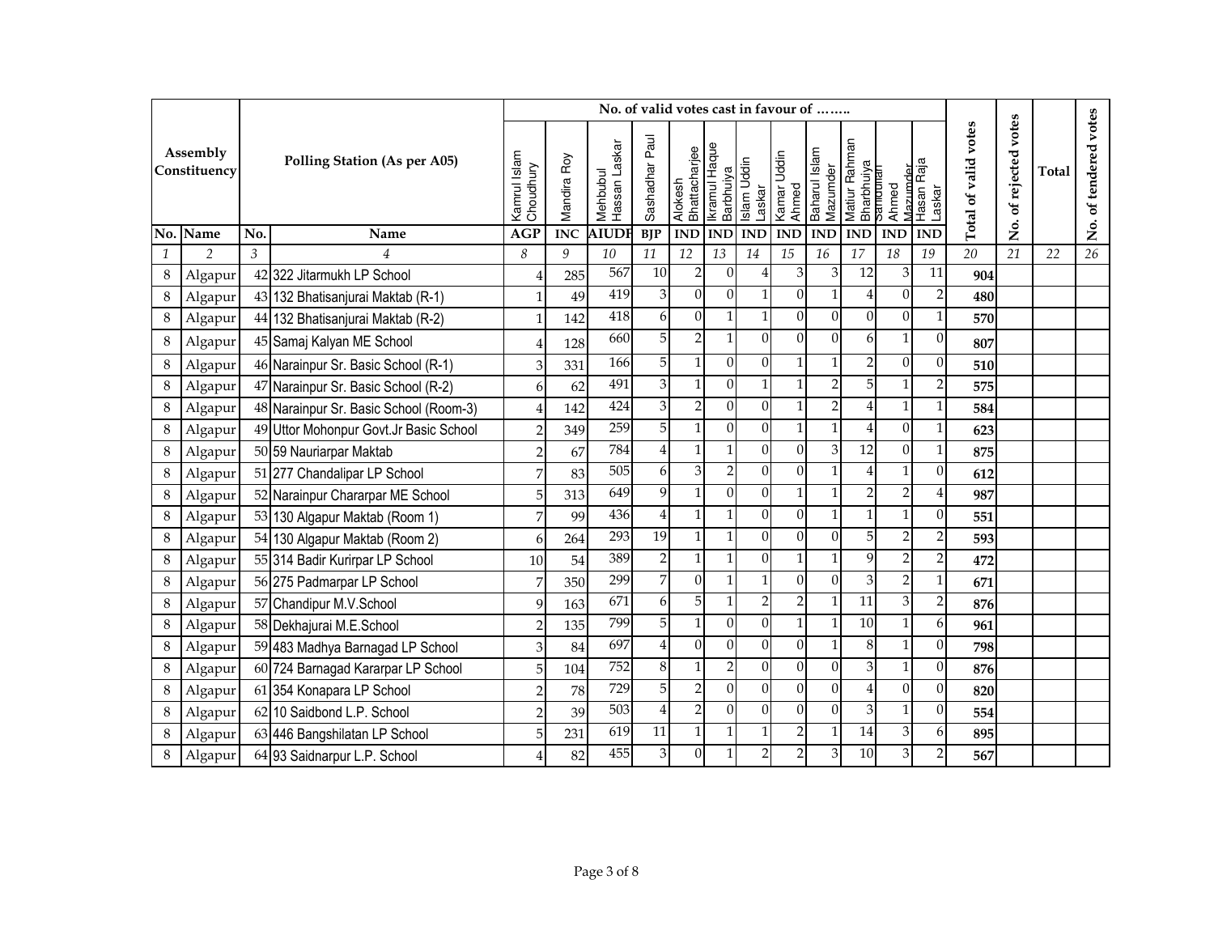|               |                          |     |                                        |                           |             |                           | No. of valid votes cast in favour of |                          |                                   |                |                                |                           |                             |                               |                         |                      |                      |              |                       |
|---------------|--------------------------|-----|----------------------------------------|---------------------------|-------------|---------------------------|--------------------------------------|--------------------------|-----------------------------------|----------------|--------------------------------|---------------------------|-----------------------------|-------------------------------|-------------------------|----------------------|----------------------|--------------|-----------------------|
|               | Assembly<br>Constituency |     | <b>Polling Station (As per A05)</b>    | Kamrul Islam<br>Choudhury | Mandira Roy | Hassan Laskar<br>Mehbubul | Sashadhar Paul                       | Bhattacharjee<br>Alokesh | Ikramul Haque<br><b>Barbhuiya</b> | Islam Uddin    | Laskar<br>Kamar Uddin<br>Ahmed | Baharul Islam<br>Mazumder | Matiur Rahman<br>Bharbhuiya | Mazumder<br>Sanouna'<br>Ahmed | Hasan Raja<br>Laskar    | Total of valid votes | votes<br>of rejected | <b>Total</b> | No. of tendered votes |
|               | No. Name                 | No. | Name                                   | <b>AGP</b>                | <b>INC</b>  | <b>AIUDI</b>              | <b>BJP</b>                           | <b>IND</b>               | <b>IND</b>                        | <b>IND</b>     | <b>IND</b>                     | <b>IND</b>                | <b>IND</b>                  | <b>IND</b>                    | <b>IND</b>              |                      | .<br>Ž               |              |                       |
| $\mathcal{I}$ | $\overline{2}$           | 3   | $\overline{4}$                         | 8                         | 9           | 10                        | 11                                   | 12                       | 13                                | 14             | 15                             | 16                        | 17                          | 18                            | 19                      | 20                   | 21                   | 22           | 26                    |
| 8             | Algapur                  |     | 42 322 Jitarmukh LP School             | $\overline{4}$            | 285         | 567                       | 10                                   | $\overline{2}$           | $\Omega$                          |                | 3                              | 3                         | 12                          | 3                             | 11                      | 904                  |                      |              |                       |
| 8             | Algapur                  |     | 43 132 Bhatisanjurai Maktab (R-1)      | 1                         | 49          | 419                       | 3                                    | $\boldsymbol{0}$         | $\mathbf{0}$                      |                | $\overline{0}$                 | 1                         | 4                           | $\Omega$                      | $\overline{\mathbf{c}}$ | 480                  |                      |              |                       |
| 8             | Algapur                  |     | 44 132 Bhatisanjurai Maktab (R-2)      | 1                         | 142         | 418                       | 6                                    | $\theta$                 | $\mathbf{1}$                      |                | $\overline{0}$                 | $\Omega$                  | $\overline{0}$              | $\Omega$                      | $\mathbf{1}$            | 570                  |                      |              |                       |
| 8             | Algapur                  |     | 45 Samaj Kalyan ME School              | Δ                         | 128         | 660                       | 5 <sup>1</sup>                       | $\overline{2}$           | $\mathbf{1}$                      | $\Omega$       | $\Omega$                       | $\Omega$                  | 6                           | $\mathbf{1}$                  | $\overline{0}$          | 807                  |                      |              |                       |
| 8             | Algapur                  |     | 46 Narainpur Sr. Basic School (R-1)    | 3                         | 331         | 166                       | 5                                    | $\mathbf{1}$             | $\boldsymbol{0}$                  | $\overline{0}$ | $\mathbf{1}$                   | 1                         | $\overline{c}$              | $\Omega$                      | 0                       | 510                  |                      |              |                       |
| 8             | Algapur                  |     | 47 Narainpur Sr. Basic School (R-2)    | 6                         | 62          | 491                       | 3                                    | $\mathbf{1}$             | $\mathbf{0}$                      |                | $\mathbf{1}$                   | $\overline{2}$            | 5                           | $\mathbf{1}$                  | $\overline{c}$          | 575                  |                      |              |                       |
| $\,8\,$       | Algapur                  |     | 48 Narainpur Sr. Basic School (Room-3) | 4                         | 142         | 424                       | 3                                    | $\overline{2}$           | $\mathbf{0}$                      | $\Omega$       | $\mathbf{1}$                   | $\overline{2}$            | 4                           |                               | $\mathbf{1}$            | 584                  |                      |              |                       |
| $\,8\,$       | Algapur                  |     | 49 Uttor Mohonpur Govt.Jr Basic School | $\overline{2}$            | 349         | 259                       | 5 <sup>1</sup>                       | $\mathbf{1}$             | $\theta$                          | $\Omega$       | $\mathbf{1}$                   | 1                         | 4                           | $\Omega$                      | $\mathbf{1}$            | 623                  |                      |              |                       |
| 8             | Algapur                  |     | 50 59 Nauriarpar Maktab                | $\overline{2}$            | 67          | 784                       | 4                                    | 1                        | $\mathbf{1}$                      | $\Omega$       | $\Omega$                       | 3                         | 12                          | $\Omega$                      | $\mathbf{1}$            | 875                  |                      |              |                       |
| 8             | Algapur                  |     | 51 277 Chandalipar LP School           | 7                         | 83          | $\overline{505}$          | 6                                    | 3                        | $\overline{2}$                    | $\Omega$       | $\Omega$                       |                           | 4                           |                               | 0                       | 612                  |                      |              |                       |
| 8             | Algapur                  |     | 52 Narainpur Chararpar ME School       | 5                         | 313         | 649                       | 9                                    | $\mathbf{1}$             | $\theta$                          | $\Omega$       | $\mathbf{1}$                   | 1                         | $\overline{2}$              | $\overline{2}$                | 4                       | 987                  |                      |              |                       |
| 8             | Algapur                  |     | 53 130 Algapur Maktab (Room 1)         | 7                         | 99          | 436                       | $\overline{4}$                       | $\mathbf{1}$             | $\mathbf{1}$                      | $\Omega$       | $\boldsymbol{0}$               | 1                         | 1                           |                               | 0                       | 551                  |                      |              |                       |
| 8             | Algapur                  |     | 54 130 Algapur Maktab (Room 2)         | 6                         | 264         | 293                       | $\overline{19}$                      | $\mathbf{1}$             | $\mathbf{1}$                      | $\Omega$       | $\overline{0}$                 | $\theta$                  | 5                           | $\overline{2}$                | $\overline{c}$          | 593                  |                      |              |                       |
| 8             | Algapur                  |     | 55 314 Badir Kurirpar LP School        | 10                        | 54          | 389                       | $\sqrt{2}$                           | $\mathbf{1}$             | $\mathbf{1}$                      | $\Omega$       | $\mathbf{1}$                   | $\mathbf{1}$              | 9                           | $\overline{2}$                | $\overline{2}$          | 472                  |                      |              |                       |
| 8             | Algapur                  |     | 56 275 Padmarpar LP School             | 7                         | 350         | 299                       | $\overline{7}$                       | $\theta$                 | $\mathbf{1}$                      |                | $\overline{0}$                 | $\Omega$                  | 3                           | $\overline{2}$                | $\mathbf{1}$            | 671                  |                      |              |                       |
| $\,8\,$       | Algapur                  |     | 57 Chandipur M.V.School                | 9                         | 163         | 671                       | 6                                    | 5                        | $\mathbf{1}$                      | 2              | $\overline{\mathbf{c}}$        |                           | 11                          | $\overline{3}$                | $\overline{c}$          | 876                  |                      |              |                       |
| 8             | Algapur                  |     | 58 Dekhajurai M.E.School               | $\overline{2}$            | 135         | 799                       | 5                                    | $\mathbf{1}$             | $\mathbf{0}$                      | $\Omega$       | 1                              | 1                         | 10                          |                               | 6                       | 961                  |                      |              |                       |
| 8             | Algapur                  |     | 59 483 Madhya Barnagad LP School       | 3                         | 84          | 697                       | $\overline{4}$                       | $\Omega$                 | $\mathbf{0}$                      | $\Omega$       | $\overline{0}$                 | 1                         | 8                           | $\mathbf{1}$                  | $\overline{0}$          | 798                  |                      |              |                       |
| $\,8\,$       | Algapur                  |     | 60 724 Barnagad Kararpar LP School     | 5                         | 104         | 752                       | $\,8\,$                              | $\mathbf{1}$             | $\overline{2}$                    | $\Omega$       | $\Omega$                       | $\theta$                  | 3                           | $\mathbf{1}$                  | $\theta$                | 876                  |                      |              |                       |
| 8             | Algapur                  |     | 61 354 Konapara LP School              | $\overline{2}$            | 78          | 729                       | $\overline{5}$                       | $\overline{2}$           | $\mathbf{0}$                      | $\Omega$       | $\overline{0}$                 | $\theta$                  | 4                           | $\Omega$                      | 0                       | 820                  |                      |              |                       |
| $\,8\,$       | Algapur                  |     | 62 10 Saidbond L.P. School             | $\overline{2}$            | 39          | 503                       | 4                                    | $\overline{2}$           | $\overline{0}$                    | $\Omega$       | $\overline{0}$                 | $\Omega$                  | 3                           | $\mathbf{1}$                  | 0                       | 554                  |                      |              |                       |
| $\,8\,$       | Algapur                  |     | 63 446 Bangshilatan LP School          | 5                         | 231         | $\overline{619}$          | $\overline{11}$                      | $\mathbf{1}$             | $\mathbf{1}$                      |                | $\overline{c}$                 | 1                         | 14                          | $\overline{3}$                | 6                       | 895                  |                      |              |                       |
| 8             | Algapur                  |     | 64 93 Saidnarpur L.P. School           |                           | 82          | 455                       | $\ensuremath{\mathbf{3}}$            | $\theta$                 | $\mathbf{1}$                      | $\overline{2}$ | $\overline{2}$                 | 3                         | 10                          | $\overline{3}$                | $\overline{c}$          | 567                  |                      |              |                       |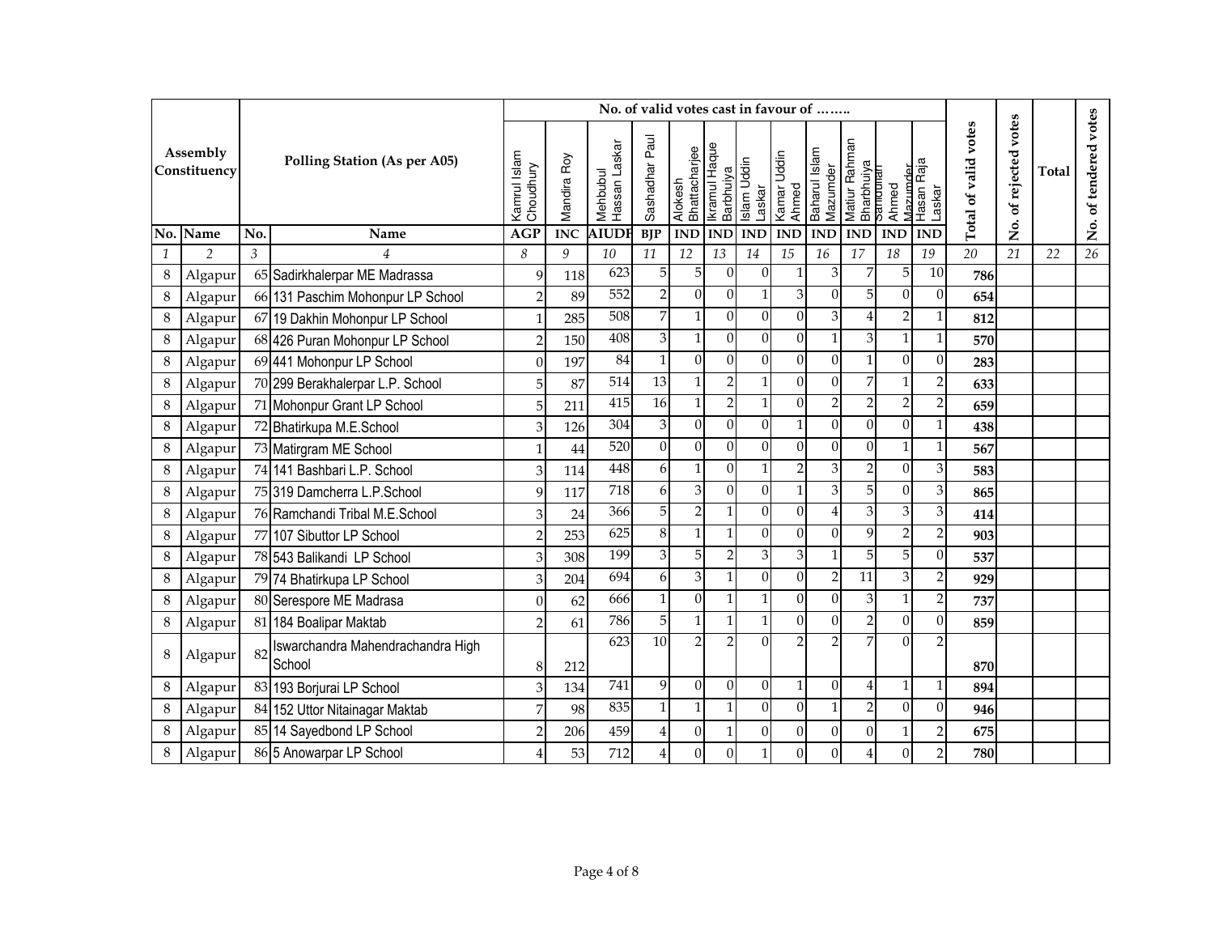|              |                          |     |                                             |                           |             | No. of valid votes cast in favour of |                 |                          |                            |                                      |                           |                           |                                         |                   |                          |                      |                      |              |                       |
|--------------|--------------------------|-----|---------------------------------------------|---------------------------|-------------|--------------------------------------|-----------------|--------------------------|----------------------------|--------------------------------------|---------------------------|---------------------------|-----------------------------------------|-------------------|--------------------------|----------------------|----------------------|--------------|-----------------------|
|              | Assembly<br>Constituency |     | <b>Polling Station (As per A05)</b>         | Kamrul Islam<br>Choudhury | Mandira Roy | Hassan Laskar<br>Mehbubul            | Sashadhar Paul  | Alokesh<br>Bhattacharjee | Ikramul Haque<br>Barbhuiya | Laskar<br>Kamar Uddin<br>Islam Uddin | Ahmed                     | Baharul Islam<br>Mazumder | Matiur Rahman<br>Bharbhuiya<br>Samdunan | Mazumder<br>Ahmed | Hasan Raja<br>Laskar     | Total of valid votes | votes<br>of rejected | <b>Total</b> | No. of tendered votes |
|              | No. Name                 | No. | Name                                        | <b>AGP</b>                | <b>INC</b>  | <b>AIUDI</b>                         | <b>BJP</b>      | <b>IND</b>               | <b>IND</b>                 | <b>IND</b>                           | $\mathbf{IND}$            | <b>IND</b>                | <b>IND</b>                              | <b>IND</b>        | <b>IND</b>               |                      | ,<br>Ž               |              |                       |
| $\mathbf{1}$ | $\overline{2}$           | 3   | $\overline{4}$                              | 8                         | 9           | 10                                   | 11              | 12                       | 13                         | 14                                   | 15                        | 16                        | 17                                      | 18                | 19                       | $\overline{20}$      | 21                   | 22           | $\overline{26}$       |
| $\,8\,$      | Algapur                  |     | 65 Sadirkhalerpar ME Madrassa               | 9                         | 118         | 623                                  | 5               | 5                        | $\Omega$                   | $\Omega$                             | 1                         | 3                         | 7                                       | 5                 | 10                       | 786                  |                      |              |                       |
| $\,8\,$      | Algapur                  |     | 66 131 Paschim Mohonpur LP School           | $\overline{2}$            | 89          | 552                                  | $\mathbf 2$     | $\theta$                 | $\mathbf{0}$               |                                      | $\ensuremath{\mathbf{3}}$ | $\Omega$                  | 5                                       | $\Omega$          | $\overline{0}$           | 654                  |                      |              |                       |
| 8            | Algapur                  |     | 67 19 Dakhin Mohonpur LP School             | $\mathbf{1}$              | 285         | 508                                  | 7               | $\mathbf{1}$             | $\boldsymbol{0}$           | $\Omega$                             | $\overline{0}$            | 3                         | $\overline{4}$                          | $\overline{2}$    | $\mathbf{1}$             | 812                  |                      |              |                       |
| $\,8\,$      | Algapur                  |     | 68 426 Puran Mohonpur LP School             | $\overline{2}$            | 150         | 408                                  | 3               | $\mathbf{1}$             | $\mathbf{0}$               | $\Omega$                             | $\overline{0}$            | 1                         | 3                                       | $\mathbf{1}$      | $\mathbf{1}$             | 570                  |                      |              |                       |
| $\,8\,$      | Algapur                  |     | 69 441 Mohonpur LP School                   | $\theta$                  | 197         | 84                                   | $\mathbf{1}$    | $\theta$                 | $\theta$                   | $\Omega$                             | $\overline{0}$            | $\theta$                  | 1                                       | $\Omega$          | $\overline{0}$           | 283                  |                      |              |                       |
| 8            | Algapur                  |     | 70 299 Berakhalerpar L.P. School            | 5                         | 87          | 514                                  | $\overline{13}$ | $\mathbf{1}$             | $\overline{2}$             |                                      | $\Omega$                  | $\Omega$                  | 7                                       |                   | $\overline{\mathbf{c}}$  | 633                  |                      |              |                       |
| $\,8\,$      | Algapur                  |     | 71 Mohonpur Grant LP School                 | 5                         | 211         | $\overline{415}$                     | $\overline{16}$ | $\mathbf{1}$             | $\overline{2}$             |                                      | $\overline{0}$            | $\overline{2}$            | $\overline{2}$                          | $\overline{2}$    | $\overline{2}$           | 659                  |                      |              |                       |
| 8            | Algapur                  |     | 72 Bhatirkupa M.E.School                    | 3                         | 126         | 304                                  | $\,3$           | $\theta$                 | $\mathbf{0}$               | $\Omega$                             | $\mathbf{1}$              | $\mathbf{0}$              | $\overline{0}$                          | $\Omega$          | 1                        | 438                  |                      |              |                       |
| 8            | Algapur                  |     | 73 Matirgram ME School                      |                           | 44          | 520                                  | $\overline{0}$  | $\mathbf{0}$             | $\mathbf{0}$               | $\Omega$                             | $\overline{0}$            | $\Omega$                  | $\mathbf{0}$                            | $\mathbf{1}$      | $\mathbf{1}$             | 567                  |                      |              |                       |
| 8            | Algapur                  |     | 74 141 Bashbari L.P. School                 | 3                         | 114         | 448                                  | 6               | $\mathbf{1}$             | $\boldsymbol{0}$           |                                      | $\overline{c}$            | 3                         | $\overline{a}$                          | $\Omega$          | 3                        | 583                  |                      |              |                       |
| 8            | Algapur                  |     | 75 319 Damcherra L.P.School                 | 9                         | 117         | 718                                  | 6               | $\overline{3}$           | $\mathbf{0}$               | $\Omega$                             | $\mathbf{1}$              | 3                         | 5                                       | $\Omega$          | 3                        | 865                  |                      |              |                       |
| 8            | Algapur                  |     | 76 Ramchandi Tribal M.E.School              | 3                         | 24          | 366                                  | 5 <sup>1</sup>  | $\overline{2}$           | $\mathbf{1}$               | $\Omega$                             | $\overline{0}$            | $\overline{4}$            | 3                                       | $\overline{3}$    | 3                        | 414                  |                      |              |                       |
| 8            | Algapur                  |     | 77 107 Sibuttor LP School                   | $\overline{2}$            | 253         | 625                                  | 8               | $\mathbf{1}$             | $\mathbf{1}$               | $\Omega$                             | $\Omega$                  | $\Omega$                  | 9                                       | $\overline{2}$    | $\overline{2}$           | 903                  |                      |              |                       |
| 8            | Algapur                  |     | 78 543 Balikandi LP School                  | 3                         | 308         | 199                                  | 3               | 5                        | $\overline{2}$             | 3                                    | $\overline{\mathbf{3}}$   | 1                         | 5                                       | 5 <sup>1</sup>    | $\theta$                 | 537                  |                      |              |                       |
| 8            | Algapur                  |     | 79 74 Bhatirkupa LP School                  | 3                         | 204         | 694                                  | 6               | 3                        | $\mathbf{1}$               | $\Omega$                             | $\Omega$                  | $\mathcal{D}$             | 11                                      | 3                 | $\overline{2}$           | 929                  |                      |              |                       |
| 8            | Algapur                  |     | 80 Serespore ME Madrasa                     | $\theta$                  | 62          | 666                                  | $\mathbf{1}$    | $\theta$                 | $\mathbf{1}$               |                                      | $\overline{0}$            | $\Omega$                  | 3                                       | $\mathbf{1}$      | $\overline{2}$           | 737                  |                      |              |                       |
| 8            | Algapur                  |     | 81 184 Boalipar Maktab                      | $\mathfrak{D}$            | 61          | 786                                  | 5               | $\mathbf{1}$             | $\mathbf{1}$               | $\mathbf{1}$                         | $\overline{0}$            | $\Omega$                  | $\overline{c}$                          | $\Omega$          | 0                        | 859                  |                      |              |                       |
| $\,8\,$      | Algapur                  | 82  | Iswarchandra Mahendrachandra High<br>School | 8                         | 212         | 623                                  | 10              | $\overline{2}$           | $\mathfrak{D}$             | $\Omega$                             | $\overline{2}$            | $\mathcal{D}$             | 7                                       | $\Omega$          | $\overline{\phantom{a}}$ | 870                  |                      |              |                       |
| 8            | Algapur                  |     | 83 193 Borjurai LP School                   | 3                         | 134         | 741                                  | 9               | $\overline{0}$           | $\Omega$                   | $\Omega$                             | $\mathbf{1}$              | $\Omega$                  | 4                                       | $\mathbf{1}$      | $\mathbf{1}$             | 894                  |                      |              |                       |
| 8            | Algapur                  |     | 84 152 Uttor Nitainagar Maktab              | 7                         | 98          | 835                                  | 1               | $\mathbf{1}$             | $\mathbf{1}$               | $\Omega$                             | $\Omega$                  | 1                         | $\overline{2}$                          | $\Omega$          | 0                        | 946                  |                      |              |                       |
| 8            | Algapur                  |     | 85 14 Sayedbond LP School                   | $\overline{2}$            | 206         | 459                                  | 4               | $\mathbf{0}$             |                            | $\Omega$                             | $\overline{0}$            | $\mathbf{0}$              | $\mathbf{0}$                            |                   | $\overline{c}$           | 675                  |                      |              |                       |
| 8            | Algapur                  |     | 86 5 Anowarpar LP School                    |                           | 53          | 712                                  | 4               | $\Omega$                 | $\Omega$                   |                                      | $\overline{0}$            | $\theta$                  | 4                                       | $\Omega$          | $\overline{2}$           | 780                  |                      |              |                       |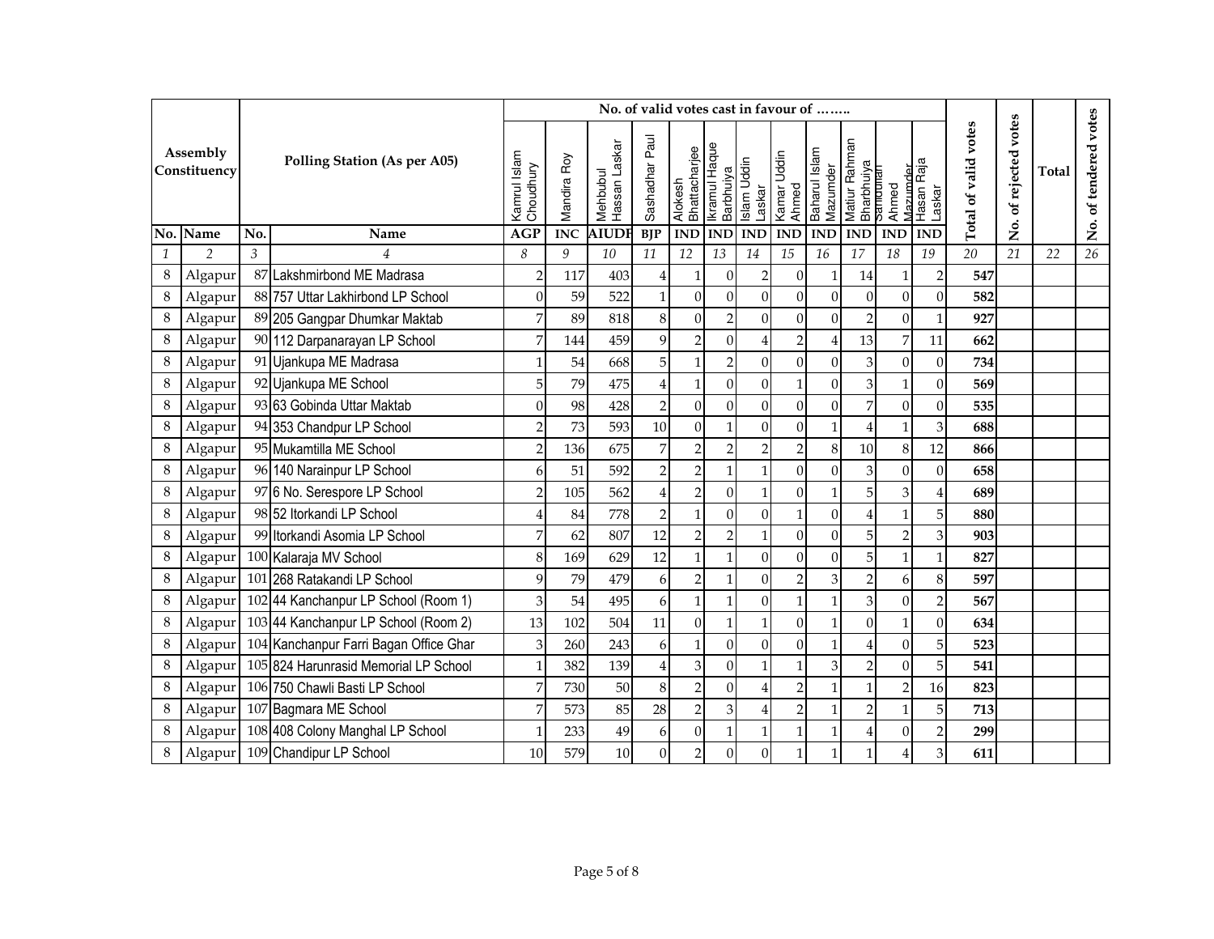|              |                          |     |                                            |                           |             |                           | No. of valid votes cast in favour of |                          |                            |                                      |                  |                           |                                         |                   |                      |                      |                      |       |                       |
|--------------|--------------------------|-----|--------------------------------------------|---------------------------|-------------|---------------------------|--------------------------------------|--------------------------|----------------------------|--------------------------------------|------------------|---------------------------|-----------------------------------------|-------------------|----------------------|----------------------|----------------------|-------|-----------------------|
|              | Assembly<br>Constituency |     | <b>Polling Station (As per A05)</b>        | Kamrul Islam<br>Choudhury | Mandira Roy | Hassan Laskar<br>Mehbubul | Sashadhar Paul                       | Alokesh<br>Bhattacharjee | Ikramul Haque<br>Barbhuiya | Laskar<br>Kamar Uddin<br>Islam Uddin | Ahmed            | Baharul Islam<br>Mazumder | Matiur Rahman<br>Bharbhuiya<br>Samuunan | Mazımder<br>Ahmed | Hasan Raja<br>Laskar | Total of valid votes | votes<br>of rejected | Total | No. of tendered votes |
|              | No. Name                 | No. | Name                                       | <b>AGP</b>                | <b>INC</b>  | <b>AIUDI</b>              | <b>BJP</b>                           | <b>IND</b>               | <b>IND</b>                 | <b>IND</b>                           | $\mathbf{IND}$   | <b>IND</b>                | <b>IND</b>                              | <b>IND</b>        | <b>IND</b>           |                      | ,<br>Ž               |       |                       |
| $\mathbf{1}$ | $\overline{2}$           | 3   | $\overline{4}$                             | 8                         | 9           | 10                        | 11                                   | 12                       | 13                         | 14                                   | 15               | 16                        | 17                                      | 18                | 19                   | $\overline{20}$      | 21                   | 22    | 26                    |
| $\,8\,$      | Algapur                  |     | 87 Lakshmirbond ME Madrasa                 | $\overline{2}$            | 117         | 403                       | 4                                    | $\mathbf{1}$             | $\Omega$                   | $\overline{2}$                       | $\overline{0}$   | 1                         | 14                                      |                   | $\overline{c}$       | 547                  |                      |       |                       |
| 8            | Algapur                  |     | 88 757 Uttar Lakhirbond LP School          | $\mathbf{0}$              | 59          | 522                       |                                      | $\mathbf{0}$             | $\mathbf{0}$               | $\Omega$                             | $\overline{0}$   | $\mathbf{0}$              | $\overline{0}$                          | $\Omega$          | $\mathbf{0}$         | 582                  |                      |       |                       |
| 8            | Algapur                  |     | 89 205 Gangpar Dhumkar Maktab              | 7                         | 89          | 818                       | $\,8\,$                              | $\mathbf{0}$             | $\overline{c}$             | $\Omega$                             | $\boldsymbol{0}$ | $\Omega$                  | $\overline{c}$                          | $\Omega$          | $\mathbf{1}$         | 927                  |                      |       |                       |
| 8            | Algapur                  |     | 90 112 Darpanarayan LP School              | 7                         | 144         | 459                       | 9                                    | $\overline{2}$           | $\mathbf{0}$               |                                      | $\mathbf 2$      | $\overline{4}$            | 13                                      | 7                 | 11                   | 662                  |                      |       |                       |
| $\,8\,$      | Algapur                  |     | 91 Ujankupa ME Madrasa                     |                           | 54          | 668                       | 5                                    | $\mathbf{1}$             | $\overline{2}$             | $\Omega$                             | $\mathbf{0}$     | $\mathbf{0}$              | 3                                       | $\Omega$          | $\mathbf{0}$         | 734                  |                      |       |                       |
| 8            | Algapur                  |     | 92 Ujankupa ME School                      | 5                         | 79          | 475                       | $\overline{4}$                       | $\mathbf{1}$             | $\boldsymbol{0}$           | $\Omega$                             | $\mathbf 1$      | $\mathbf{0}$              | 3                                       | $\mathbf{1}$      | 0                    | 569                  |                      |       |                       |
| $\,8\,$      | Algapur                  |     | 93 63 Gobinda Uttar Maktab                 | $\overline{0}$            | 98          | 428                       | $\overline{2}$                       | $\mathbf{0}$             | $\mathbf{0}$               | $\Omega$                             | $\overline{0}$   | $\mathbf{0}$              | 7                                       | $\Omega$          | 0                    | 535                  |                      |       |                       |
| 8            | Algapur                  |     | 94 353 Chandpur LP School                  | $\overline{2}$            | 73          | 593                       | 10                                   | $\mathbf{0}$             | $\mathbf{1}$               | $\Omega$                             | $\overline{0}$   | 1                         | 4                                       | $\mathbf{1}$      | 3                    | 688                  |                      |       |                       |
| 8            | Algapur                  |     | 95 Mukamtilla ME School                    | $\overline{2}$            | 136         | 675                       | 7                                    | $\overline{2}$           | $\overline{2}$             | $\overline{2}$                       | $\overline{2}$   | 8                         | 10                                      | 8                 | 12                   | 866                  |                      |       |                       |
| 8            | Algapur                  |     | 96 140 Narainpur LP School                 | 6                         | 51          | 592                       | $\overline{2}$                       | $\overline{2}$           | $\mathbf{1}$               |                                      | $\Omega$         | $\Omega$                  | 3                                       | $\Omega$          | $\mathbf{0}$         | 658                  |                      |       |                       |
| 8            | Algapur                  |     | 97 6 No. Serespore LP School               | $\mathcal{P}$             | 105         | 562                       | 4                                    | $\overline{2}$           | $\Omega$                   |                                      | $\overline{0}$   | 1                         | 5                                       | $\overline{3}$    | 4                    | 689                  |                      |       |                       |
| 8            | Algapur                  |     | 98 52 Itorkandi LP School                  |                           | 84          | 778                       | $\overline{2}$                       | $\mathbf{1}$             | $\Omega$                   | $\Omega$                             | 1                | $\theta$                  | 4                                       |                   | 5                    | 880                  |                      |       |                       |
| 8            | Algapur                  |     | 99 Itorkandi Asomia LP School              | 7                         | 62          | 807                       | 12                                   | $\mathbf 2$              | $\overline{2}$             | 1 <sup>1</sup>                       | $\Omega$         | $\theta$                  | 5                                       | $\overline{2}$    | 3                    | 903                  |                      |       |                       |
| 8            | Algapur                  |     | 100 Kalaraja MV School                     | 8                         | 169         | 629                       | 12                                   | $\mathbf{1}$             | $\mathbf{1}$               | $\Omega$                             | $\Omega$         | $\theta$                  | 5                                       | $\mathbf{1}$      | $\mathbf{1}$         | 827                  |                      |       |                       |
| 8            | Algapur                  |     | 101 268 Ratakandi LP School                | 9                         | 79          | 479                       | 6                                    | $\mathbf 2$              | $\mathbf{1}$               | $\Omega$                             | $\overline{2}$   | 3                         | $\overline{2}$                          | 6                 | $\,8\,$              | 597                  |                      |       |                       |
| 8            | Algapur                  |     | 102 44 Kanchanpur LP School (Room 1)       | 3                         | 54          | 495                       | 6                                    | $\mathbf{1}$             | $\mathbf{1}$               | $\Omega$                             | $\mathbf{1}$     | $\overline{1}$            | 3                                       | $\Omega$          | $\mathbf 2$          | 567                  |                      |       |                       |
| 8            | Algapur                  |     | 103 44 Kanchanpur LP School (Room 2)       | 13                        | 102         | 504                       | 11                                   | $\theta$                 | $\mathbf{1}$               | $\mathbf{1}$                         | $\overline{0}$   | $\overline{1}$            | $\Omega$                                | 1                 | $\overline{0}$       | 634                  |                      |       |                       |
| 8            | Algapur                  |     | 104 Kanchanpur Farri Bagan Office Ghar     | 3                         | 260         | 243                       | 6                                    | $\mathbf{1}$             | $\mathbf{0}$               | $\Omega$                             | $\overline{0}$   |                           | 4                                       | $\Omega$          | 5                    | 523                  |                      |       |                       |
| 8            | Algapur                  |     | 105 824 Harunrasid Memorial LP School      | $\mathbf{1}$              | 382         | 139                       | 4                                    | 3                        | $\mathbf{0}$               |                                      | 1                | 3                         | $\overline{2}$                          | $\Omega$          | 5                    | 541                  |                      |       |                       |
| 8            | Algapur                  |     | 106 750 Chawli Basti LP School             | 7                         | 730         | 50                        | 8                                    | $\mathbf 2$              | $\Omega$                   | 4                                    | $\overline{2}$   | 1                         | 1                                       | $\overline{2}$    | 16                   | 823                  |                      |       |                       |
| 8            | Algapur                  |     | 107 Bagmara ME School                      | 7                         | 573         | 85                        | 28                                   | $\mathbf 2$              | 3                          | $\overline{4}$                       | $\overline{2}$   |                           | 2                                       |                   | 5                    | 713                  |                      |       |                       |
| 8            |                          |     | Algapur   108 408 Colony Manghal LP School | $\mathbf{1}$              | 233         | 49                        | 6                                    | $\mathbf{0}$             | $\mathbf{1}$               | $\mathbf{1}$                         | 1                | 1                         | 4                                       | $\Omega$          | $\overline{c}$       | 299                  |                      |       |                       |
| 8            |                          |     | Algapur 109 Chandipur LP School            | 10                        | 579         | 10                        | $\theta$                             | $\overline{2}$           | $\Omega$                   | $\Omega$                             | $\mathbf{1}$     |                           | 1                                       |                   | $\mathfrak{B}$       | 611                  |                      |       |                       |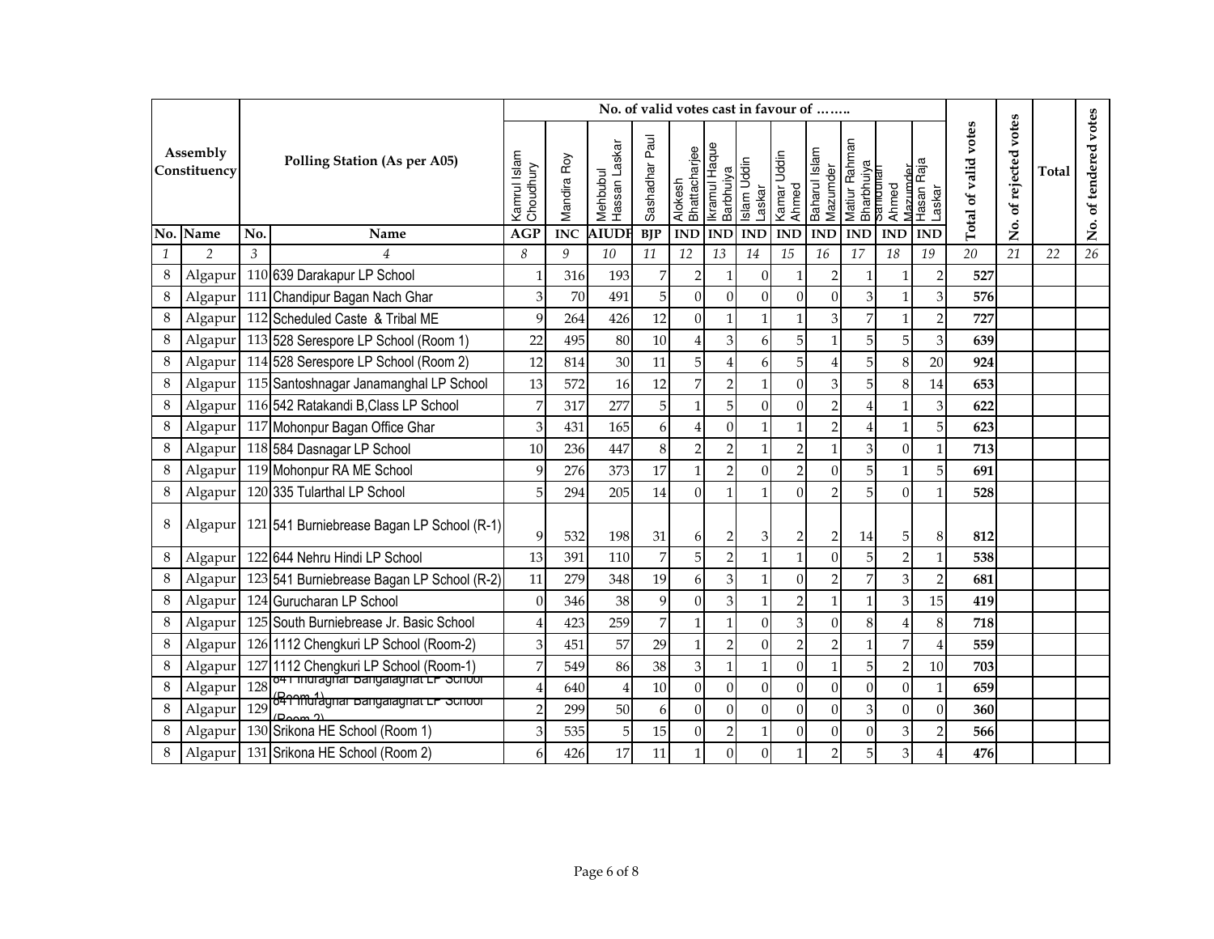|               |                          |                |                                                                       |                           |             |                           | No. of valid votes cast in favour of |                          |                            |                |                                |                           |                             |                                |                      |                      |                      |              |                       |
|---------------|--------------------------|----------------|-----------------------------------------------------------------------|---------------------------|-------------|---------------------------|--------------------------------------|--------------------------|----------------------------|----------------|--------------------------------|---------------------------|-----------------------------|--------------------------------|----------------------|----------------------|----------------------|--------------|-----------------------|
|               | Assembly<br>Constituency |                | <b>Polling Station (As per A05)</b>                                   | Kamrul Islam<br>Choudhury | Mandira Roy | Hassan Laskar<br>Mehbubul | Sashadhar Paul                       | Alokesh<br>Bhattacharjee | Ikramul Haque<br>Barbhuiya | Islam Uddin    | Laskar<br>Kamar Uddin<br>Ahmed | Baharul Islam<br>Mazumder | Matiur Rahman<br>Bharbhuiya | Mazumder<br>>amounari<br>Ahmed | Hasan Raja<br>Laskar | Total of valid votes | votes<br>of rejected | <b>Total</b> | No. of tendered votes |
|               | No. Name                 | No.            | Name                                                                  | <b>AGP</b>                | <b>INC</b>  | <b>AIUDI</b>              | <b>BJP</b>                           | <b>IND</b>               | <b>IND</b>                 | <b>IND</b>     | <b>IND</b>                     | <b>IND</b>                | <b>IND</b>                  | <b>IND</b>                     | <b>IND</b>           |                      | .<br>Ž               |              |                       |
| $\mathcal{I}$ | $\overline{2}$           | $\mathfrak{Z}$ | $\overline{4}$                                                        | 8                         | 9           | 10                        | 11                                   | 12                       | 13                         | 14             | 15                             | 16                        | 17                          | 18                             | 19                   | 20                   | 21                   | 22           | 26                    |
| 8             | Algapur                  |                | 110 639 Darakapur LP School                                           | $\mathbf{1}$              | 316         | 193                       | 7                                    | $\overline{2}$           |                            | $\Omega$       | 1                              |                           |                             |                                | $\overline{c}$       | 527                  |                      |              |                       |
| 8             | Algapur                  |                | 111 Chandipur Bagan Nach Ghar                                         | 3                         | 70          | 491                       | 5                                    | $\mathbf{0}$             | $\Omega$                   | $\Omega$       | $\overline{0}$                 | $\theta$                  | 3                           |                                | 3                    | 576                  |                      |              |                       |
| 8             | Algapur                  |                | 112 Scheduled Caste & Tribal ME                                       | 9                         | 264         | 426                       | 12                                   | $\mathbf{0}$             | $\mathbf{1}$               |                | 1                              | 3                         | 7                           | 1                              | $\overline{c}$       | 727                  |                      |              |                       |
| 8             | Algapur                  |                | 113 528 Serespore LP School (Room 1)                                  | 22                        | 495         | 80                        | 10                                   | $\overline{4}$           | 3                          | 6              | 5                              |                           | 5                           | 5 <sup>1</sup>                 | 3                    | 639                  |                      |              |                       |
| 8             | Algapur                  |                | 114 528 Serespore LP School (Room 2)                                  | 12                        | 814         | 30                        | 11                                   | 5                        | $\overline{4}$             | 6              | 5                              |                           | 5                           | 8                              | 20                   | 924                  |                      |              |                       |
| 8             | Algapur                  |                | 115 Santoshnagar Janamanghal LP School                                | 13                        | 572         | 16                        | 12                                   | $\overline{7}$           | $\overline{2}$             |                | $\overline{0}$                 | 3                         | 5                           | 8                              | 14                   | 653                  |                      |              |                       |
| 8             | Algapur                  |                | 116 542 Ratakandi B, Class LP School                                  | 7                         | 317         | 277                       | 5                                    | $\mathbf{1}$             | 5                          | $\Omega$       | $\overline{0}$                 | $\overline{2}$            | 4                           |                                | 3                    | 622                  |                      |              |                       |
| 8             | Algapur                  |                | 117 Mohonpur Bagan Office Ghar                                        | 3                         | 431         | 165                       | 6                                    | $\overline{4}$           | $\Omega$                   |                | 1                              |                           | 4                           |                                | 5                    | 623                  |                      |              |                       |
| 8             |                          |                | Algapur 118 584 Dasnagar LP School                                    | 10                        | 236         | 447                       | 8                                    | $\overline{2}$           | $\overline{2}$             |                | $\overline{2}$                 | 1                         | 3                           | $\Omega$                       | $\mathbf{1}$         | 713                  |                      |              |                       |
| 8             | Algapur                  |                | 119 Mohonpur RA ME School                                             | 9                         | 276         | 373                       | 17                                   | $\mathbf{1}$             | $\overline{2}$             | $\Omega$       | $\overline{2}$                 | $\Omega$                  | 5                           |                                | 5                    | 691                  |                      |              |                       |
| 8             | Algapur                  |                | 120 335 Tularthal LP School                                           | 5                         | 294         | 205                       | 14                                   | $\mathbf{0}$             | $\mathbf{1}$               |                | $\Omega$                       |                           | 5                           | $\Omega$                       | $\mathbf{1}$         | 528                  |                      |              |                       |
| 8             | Algapur                  |                | 121 541 Burniebrease Bagan LP School (R-1)                            | 9                         | 532         | 198                       | 31                                   | 6                        | $\overline{c}$             | $\overline{3}$ | 2                              | $\overline{2}$            | 14                          | 5 <sup>1</sup>                 | 8                    | 812                  |                      |              |                       |
| 8             | Algapur                  |                | 122 644 Nehru Hindi LP School                                         | 13                        | 391         | 110                       | 7                                    | 5                        | $\overline{2}$             |                | 1                              | $\theta$                  | 5                           | $\overline{2}$                 | $\mathbf{1}$         | 538                  |                      |              |                       |
| $\,8\,$       | Algapur                  |                | 123 541 Burniebrease Bagan LP School (R-2)                            | 11                        | 279         | 348                       | 19                                   | 6                        | 3                          |                | $\mathbf{0}$                   | C                         | 7                           | $\overline{3}$                 | $\overline{c}$       | 681                  |                      |              |                       |
| 8             | Algapur                  |                | 124 Gurucharan LP School                                              | $\mathbf{0}$              | 346         | 38                        | 9                                    | $\theta$                 | 3                          |                | $\overline{2}$                 |                           |                             | $\overline{3}$                 | 15                   | 419                  |                      |              |                       |
| 8             | Algapur                  |                | 125 South Burniebrease Jr. Basic School                               | $\overline{4}$            | 423         | 259                       | $\overline{7}$                       | $\mathbf{1}$             | $\mathbf{1}$               | $\Omega$       | 3                              | $\Omega$                  | 8                           |                                | 8                    | 718                  |                      |              |                       |
| $\,8\,$       | Algapur                  |                | 126 1112 Chengkuri LP School (Room-2)                                 | 3                         | 451         | 57                        | 29                                   | $\mathbf{1}$             | $\overline{2}$             | $\Omega$       | $\overline{2}$                 |                           |                             | $\overline{7}$                 | 4                    | 559                  |                      |              |                       |
| $\,8\,$       | Algapur                  |                | 127 1112 Chengkuri LP School (Room-1)                                 | 7                         | 549         | 86                        | 38                                   | 3                        | $\mathbf{1}$               |                | $\boldsymbol{0}$               |                           | 5                           | $\overline{2}$                 | 10                   | 703                  |                      |              |                       |
| $\,8\,$       | Algapur                  | 128            | <del>04 i inuraynar banyalaynat LP Sunool</del>                       | $\overline{4}$            | 640         | 4                         | 10                                   | $\overline{0}$           | $\mathbf{0}$               | $\Omega$       | $\overline{0}$                 | $\theta$                  | $\overline{0}$              | $\Omega$                       | $\mathbf{1}$         | 659                  |                      |              |                       |
| $\,8\,$       | Algapur                  | 129            | <del>8411Mu1agnar Bangalagnat LP School</del><br>(D <sub>com</sub> 2) | $\overline{2}$            | 299         | 50                        | 6                                    | $\mathbf{0}$             | $\mathbf{0}$               | $\Omega$       | $\overline{0}$                 | $\mathbf{0}$              | 3                           | $\Omega$                       | $\overline{0}$       | 360                  |                      |              |                       |
| $\,8\,$       | Algapur                  |                | 130 Srikona HE School (Room 1)                                        | 3                         | 535         | 5                         | 15                                   | $\boldsymbol{0}$         | $\overline{2}$             |                | $\boldsymbol{0}$               | $\mathbf{0}$              | $\boldsymbol{0}$            | $\overline{3}$                 | $\overline{c}$       | 566                  |                      |              |                       |
| 8             |                          |                | Algapur 131 Srikona HE School (Room 2)                                | 6                         | 426         | 17                        | 11                                   | $\mathbf{1}$             | $\Omega$                   | $\Omega$       | 1                              |                           | 5                           | $\overline{3}$                 | 4                    | 476                  |                      |              |                       |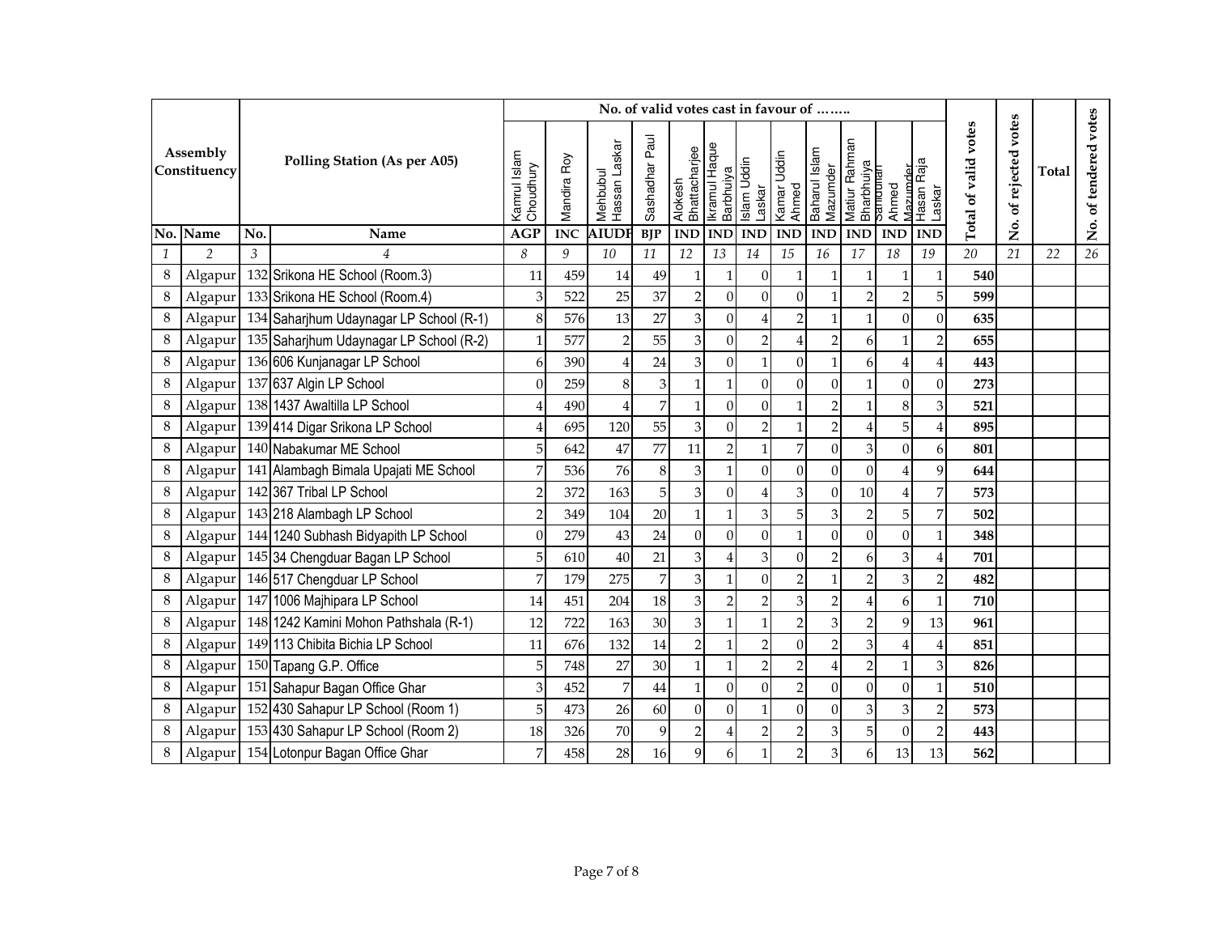|              |                          |     |                                                 |                           |             |                           | No. of valid votes cast in favour of |                          |                            |                |                                |                           |                                         |                         |                      |                      |                      |       |                       |
|--------------|--------------------------|-----|-------------------------------------------------|---------------------------|-------------|---------------------------|--------------------------------------|--------------------------|----------------------------|----------------|--------------------------------|---------------------------|-----------------------------------------|-------------------------|----------------------|----------------------|----------------------|-------|-----------------------|
|              | Assembly<br>Constituency |     | <b>Polling Station (As per A05)</b>             | Kamrul Islam<br>Choudhury | Mandira Roy | Hassan Laskar<br>Mehbubul | Sashadhar Paul                       | Alokesh<br>Bhattacharjee | Ikramul Haque<br>Barbhuiya | Islam Uddin    | Laskar<br>Kamar Uddin<br>Ahmed | Baharul Islam<br>Mazumder | Matiur Rahman<br>Bharbhuiya<br>Samdunan | Mazımder<br>Ahmed       | Hasan Raja<br>Laskar | Total of valid votes | votes<br>of rejected | Total | No. of tendered votes |
|              | No. Name                 | No. | Name                                            | <b>AGP</b>                | <b>INC</b>  | <b>AIUDI</b>              | <b>BJP</b>                           | <b>IND</b>               | <b>IND</b>                 | <b>IND</b>     | $\mathbf{IND}$                 | <b>IND</b>                | <b>IND</b>                              | <b>IND</b>              | <b>IND</b>           |                      | ,<br>Ž               |       |                       |
| $\mathbf{1}$ | $\overline{2}$           | 3   | $\overline{4}$                                  | 8                         | 9           | 10                        | 11                                   | 12                       | 13                         | 14             | 15                             | 16                        | 17                                      | 18                      | 19                   | $\overline{20}$      | 21                   | 22    | 26                    |
| 8            | Algapur                  |     | 132 Srikona HE School (Room.3)                  | 11                        | 459         | 14                        | 49                                   | $\mathbf{1}$             | 1                          | $\Omega$       | 1                              |                           |                                         |                         | $\mathbf{1}$         | 540                  |                      |       |                       |
| 8            | Algapur                  |     | 133 Srikona HE School (Room.4)                  | 3                         | 522         | 25                        | 37                                   | $\sqrt{2}$               | $\mathbf{0}$               | $\Omega$       | $\boldsymbol{0}$               |                           | $\overline{2}$                          | $\overline{2}$          | 5                    | 599                  |                      |       |                       |
| 8            |                          |     | Algapur 134 Saharjhum Udaynagar LP School (R-1) | $\,8\,$                   | 576         | 13                        | 27                                   | $\mathfrak{Z}$           | $\mathbf{0}$               |                | $\overline{2}$                 | $\overline{1}$            | 1                                       | $\Omega$                | $\boldsymbol{0}$     | 635                  |                      |       |                       |
| 8            | Algapur                  |     | 135 Saharjhum Udaynagar LP School (R-2)         | $\mathbf{1}$              | 577         | $\overline{c}$            | 55                                   | $\mathfrak{B}$           | $\mathbf{0}$               | $\overline{2}$ | 4                              |                           | 6                                       |                         | $\overline{c}$       | 655                  |                      |       |                       |
| $\,8\,$      | Algapur                  |     | 136 606 Kunjanagar LP School                    | 6                         | 390         | $\overline{4}$            | 24                                   | 3                        | $\mathbf{0}$               |                | $\boldsymbol{0}$               |                           | 6                                       |                         | 4                    | 443                  |                      |       |                       |
| 8            | Algapur                  |     | 137 637 Algin LP School                         | $\mathbf{0}$              | 259         | 8                         | $\ensuremath{\mathbf{3}}$            | $\mathbf{1}$             | $\mathbf{1}$               | $\Omega$       | $\overline{0}$                 | $\theta$                  | 1                                       | $\Omega$                | 0                    | 273                  |                      |       |                       |
| 8            | Algapur                  |     | 138 1437 Awaltilla LP School                    | 4                         | 490         | 4                         | 7                                    | $\mathbf{1}$             | $\mathbf{0}$               | $\overline{0}$ | $\mathbf{1}$                   |                           |                                         | 8 <sup>1</sup>          | 3                    | 521                  |                      |       |                       |
| 8            |                          |     | Algapur 139 414 Digar Srikona LP School         | 4                         | 695         | 120                       | 55                                   | $\overline{3}$           | $\mathbf{0}$               | 21             | 1                              | $\overline{2}$            | 4                                       | 5 <sup>1</sup>          | 4                    | 895                  |                      |       |                       |
| 8            |                          |     | Algapur 140 Nabakumar ME School                 | 5                         | 642         | 47                        | 77                                   | 11                       | $\overline{2}$             |                | $\overline{7}$                 | $\theta$                  | 3                                       | $\Omega$                | 6                    | 801                  |                      |       |                       |
| 8            | Algapur                  |     | 141 Alambagh Bimala Upajati ME School           | 7                         | 536         | 76                        | $\,8\,$                              | $\mathfrak{Z}$           | $\mathbf{1}$               | $\Omega$       | $\overline{0}$                 | $\theta$                  | $\Omega$                                |                         | 9                    | 644                  |                      |       |                       |
| 8            | Algapur                  |     | 142 367 Tribal LP School                        | $\overline{2}$            | 372         | 163                       | 5                                    | $\mathfrak{B}$           | $\Omega$                   |                | $\mathfrak{B}$                 | $\Omega$                  | 10                                      |                         | 7                    | 573                  |                      |       |                       |
| 8            | Algapur                  |     | 143 218 Alambagh LP School                      | $\overline{2}$            | 349         | 104                       | 20                                   | $\mathbf{1}$             | $\mathbf{1}$               | $\overline{3}$ | 5                              | 3                         | $\overline{2}$                          | 5 <sup>1</sup>          | 7                    | 502                  |                      |       |                       |
| 8            |                          |     | Algapur 144 1240 Subhash Bidyapith LP School    | $\theta$                  | 279         | 43                        | 24                                   | $\overline{0}$           | $\theta$                   | $\Omega$       | $\mathbf{1}$                   | $\theta$                  | $\Omega$                                | $\Omega$                | $\mathbf{1}$         | 348                  |                      |       |                       |
| 8            | Algapur                  |     | 145 34 Chengduar Bagan LP School                | 5                         | 610         | 40                        | 21                                   | 3                        | $\overline{4}$             | $\overline{3}$ | $\Omega$                       |                           | 6                                       | $\overline{\mathbf{3}}$ | 4                    | 701                  |                      |       |                       |
| 8            |                          |     | Algapur 146 517 Chengduar LP School             | 7                         | 179         | 275                       | 7                                    | 3                        | $\mathbf{1}$               | $\Omega$       | $\overline{2}$                 |                           | $\overline{2}$                          | $\overline{3}$          | $\overline{c}$       | 482                  |                      |       |                       |
| 8            | Algapur                  |     | 147 1006 Majhipara LP School                    | 14                        | 451         | 204                       | 18                                   | $\mathfrak{B}$           | $\overline{2}$             | $\overline{2}$ | $\ensuremath{\mathbf{3}}$      |                           | 4                                       | 6                       | $\mathbf{1}$         | 710                  |                      |       |                       |
| 8            | Algapur                  |     | 148 1242 Kamini Mohon Pathshala (R-1)           | 12                        | 722         | 163                       | 30                                   | $\mathfrak{B}$           | $\mathbf{1}$               |                | $\overline{2}$                 |                           | $\overline{2}$                          | 9                       | 13                   | 961                  |                      |       |                       |
| 8            | Algapur                  |     | 149 113 Chibita Bichia LP School                | 11                        | 676         | 132                       | 14                                   | $\overline{c}$           | $\mathbf{1}$               | $\overline{2}$ | $\overline{0}$                 | 2                         | 3                                       |                         | 4                    | 851                  |                      |       |                       |
| 8            | Algapur                  |     | 150 Tapang G.P. Office                          | 5                         | 748         | 27                        | 30                                   | $\mathbf{1}$             | $\mathbf{1}$               | $\overline{2}$ | $\overline{2}$                 |                           | $\overline{2}$                          |                         | 3                    | 826                  |                      |       |                       |
| 8            | Algapur                  |     | 151 Sahapur Bagan Office Ghar                   | 3                         | 452         | 7                         | 44                                   | $\mathbf{1}$             | $\Omega$                   | $\Omega$       | $\overline{2}$                 | $\theta$                  | $\overline{0}$                          | $\Omega$                | $\mathbf{1}$         | 510                  |                      |       |                       |
| 8            | Algapur                  |     | 152 430 Sahapur LP School (Room 1)              | 5                         | 473         | 26                        | 60                                   | $\mathbf{0}$             | $\Omega$                   |                | $\overline{0}$                 | $\mathbf{0}$              | 3                                       | $\overline{3}$          | 2                    | 573                  |                      |       |                       |
| 8            |                          |     | Algapur 153 430 Sahapur LP School (Room 2)      | 18                        | 326         | 70                        | 9                                    | $\overline{2}$           | $\overline{4}$             | $\overline{2}$ | $\mathbf 2$                    | 3                         | 5                                       | $\Omega$                | $\overline{2}$       | 443                  |                      |       |                       |
| 8            |                          |     | Algapur 154 Lotonpur Bagan Office Ghar          | 7                         | 458         | 28                        | 16                                   | 9                        | 6                          |                | $\overline{2}$                 | 3                         | 6                                       | 13                      | 13                   | 562                  |                      |       |                       |